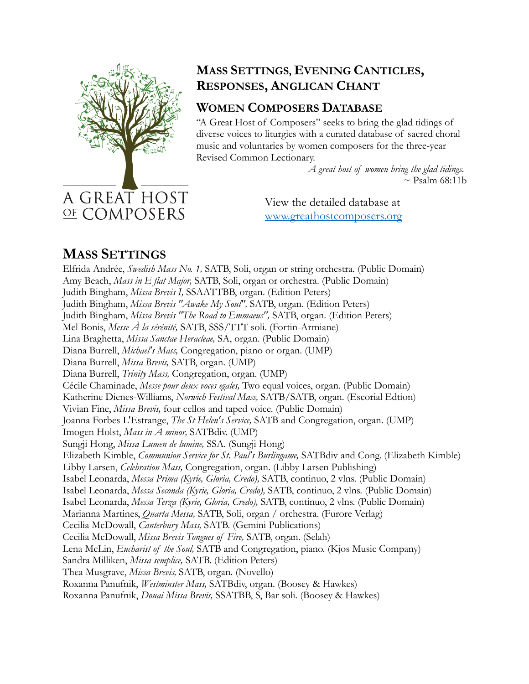

#### **MASS SETTINGS, EVENING CANTICLES, RESPONSES, ANGLICAN CHANT**

## **WOMEN COMPOSERS DATABASE**

"A Great Host of Composers" seeks to bring the glad tidings of diverse voices to liturgies with a curated database of sacred choral music and voluntaries by women composers for the three-year Revised Common Lectionary.

> *A great host of women bring the glad tidings.*  $\sim$  Psalm 68:11b

View the detailed database at www.greathostcomposers.org

# **MASS SETTINGS**

Elfrida Andrée, *Swedish Mass No. 1,* SATB, Soli, organ or string orchestra. (Public Domain) Amy Beach, *Mass in E flat Major,* SATB, Soli, organ or orchestra. (Public Domain) Judith Bingham, *Missa Brevis I,* SSAATTBB, organ. (Edition Peters) Judith Bingham, *Missa Brevis "Awake My Soul",* SATB, organ. (Edition Peters) Judith Bingham, *Missa Brevis "The Road to Emmaeus",* SATB, organ. (Edition Peters) Mel Bonis, *Messe À la sérénité,* SATB, SSS/TTT soli. (Fortin-Armiane) Lina Braghetta, *Missa Sanctae Heracleae,* SA, organ. (Public Domain) Diana Burrell, *Michael's Mass,* Congregation, piano or organ. (UMP) Diana Burrell, *Missa Brevis,* SATB, organ. (UMP) Diana Burrell, *Trinity Mass,* Congregation, organ. (UMP) Cécile Chaminade, *Messe pour deux voces egales,* Two equal voices, organ. (Public Domain) Katherine Dienes-Williams, *Norwich Festival Mass,* SATB/SATB, organ. (Escorial Edtion) Vivian Fine, *Missa Brevis,* four cellos and taped voice. (Public Domain) Joanna Forbes L'Estrange, *The St Helen's Service,* SATB and Congregation, organ. (UMP) Imogen Holst, *Mass in A minor,* SATBdiv. (UMP) Sungji Hong, *Missa Lumen de lumine,* SSA. (Sungji Hong) Elizabeth Kimble, *Communion Service for St. Paul's Burlingame,* SATBdiv and Cong. (Elizabeth Kimble) Libby Larsen, *Celebration Mass,* Congregation, organ. (Libby Larsen Publishing) Isabel Leonarda, *Messa Prima (Kyrie, Gloria, Credo),* SATB, continuo, 2 vlns. (Public Domain) Isabel Leonarda, *Messa Seconda (Kyrie, Gloria, Credo),* SATB, continuo, 2 vlns. (Public Domain) Isabel Leonarda, *Messa Terza (Kyrie, Gloria, Credo),* SATB, continuo, 2 vlns. (Public Domain) Marianna Martines, *Quarta Messa,* SATB, Soli, organ / orchestra. (Furore Verlag) Cecilia McDowall, *Canterbury Mass,* SATB. (Gemini Publications) Cecilia McDowall, *Missa Brevis Tongues of Fire,* SATB, organ. (Selah) Lena McLin, *Eucharist of the Soul,* SATB and Congregation, piano. (Kjos Music Company) Sandra Milliken, *Missa semplice,* SATB. (Edition Peters) Thea Musgrave, *Missa Brevis,* SATB, organ. (Novello) Roxanna Panufnik, *Westminster Mass,* SATBdiv, organ. (Boosey & Hawkes) Roxanna Panufnik, *Douai Missa Brevis,* SSATBB, S, Bar soli. (Boosey & Hawkes)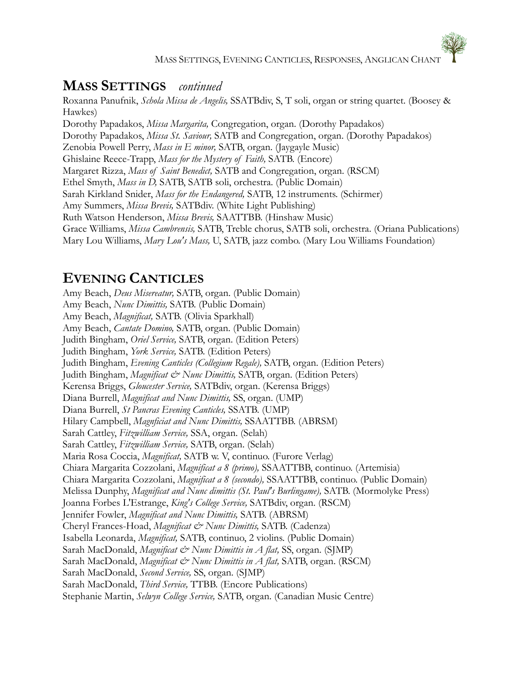#### **MASS SETTINGS** *continued*

Roxanna Panufnik, *Schola Missa de Angelis,* SSATBdiv, S, T soli, organ or string quartet. (Boosey & Hawkes) Dorothy Papadakos, *Missa Margarita,* Congregation, organ. (Dorothy Papadakos) Dorothy Papadakos, *Missa St. Saviour,* SATB and Congregation, organ. (Dorothy Papadakos) Zenobia Powell Perry, *Mass in E minor,* SATB, organ. (Jaygayle Music) Ghislaine Reece-Trapp, *Mass for the Mystery of Faith,* SATB. (Encore) Margaret Rizza, *Mass of Saint Benedict,* SATB and Congregation, organ. (RSCM) Ethel Smyth, *Mass in D,* SATB, SATB soli, orchestra. (Public Domain) Sarah Kirkland Snider, *Mass for the Endangered,* SATB, 12 instruments. (Schirmer) Amy Summers, *Missa Brevis,* SATBdiv. (White Light Publishing) Ruth Watson Henderson, *Missa Brevis,* SAATTBB. (Hinshaw Music) Grace Williams, *Missa Cambrensis,* SATB, Treble chorus, SATB soli, orchestra. (Oriana Publications) Mary Lou Williams, *Mary Lou's Mass,* U, SATB, jazz combo. (Mary Lou Williams Foundation)

## **EVENING CANTICLES**

Amy Beach, *Deus Misereatur,* SATB, organ. (Public Domain) Amy Beach, *Nunc Dimittis,* SATB. (Public Domain) Amy Beach, *Magnificat,* SATB. (Olivia Sparkhall) Amy Beach, *Cantate Domino,* SATB, organ. (Public Domain) Judith Bingham, *Oriel Service,* SATB, organ. (Edition Peters) Judith Bingham, *York Service,* SATB. (Edition Peters) Judith Bingham, *Evening Canticles (Collegium Regale),* SATB, organ. (Edition Peters) Judith Bingham, *Magnificat & Nunc Dimittis,* SATB, organ. (Edition Peters) Kerensa Briggs, *Gloucester Service,* SATBdiv, organ. (Kerensa Briggs) Diana Burrell, *Magnificat and Nunc Dimittis,* SS, organ. (UMP) Diana Burrell, *St Pancras Evening Canticles,* SSATB. (UMP) Hilary Campbell, *Magnficiat and Nunc Dimittis,* SSAATTBB. (ABRSM) Sarah Cattley, *Fitzwilliam Service,* SSA, organ. (Selah) Sarah Cattley, *Fitzwilliam Service,* SATB, organ. (Selah) Maria Rosa Coccia, *Magnificat,* SATB w. V, continuo. (Furore Verlag) Chiara Margarita Cozzolani, *Magnificat a 8 (primo),* SSAATTBB, continuo. (Artemisia) Chiara Margarita Cozzolani, *Magnificat a 8 (secondo),* SSAATTBB, continuo. (Public Domain) Melissa Dunphy, *Magnificat and Nunc dimittis (St. Paul's Burlingame),* SATB. (Mormolyke Press) Joanna Forbes L'Estrange, *King's College Service,* SATBdiv, organ. (RSCM) Jennifer Fowler, *Magnificat and Nunc Dimittis,* SATB. (ABRSM) Cheryl Frances-Hoad, *Magnificat & Nunc Dimittis,* SATB. (Cadenza) Isabella Leonarda, *Magnificat,* SATB, continuo, 2 violins. (Public Domain) Sarah MacDonald, *Magnificat & Nunc Dimittis in A flat,* SS, organ. (SJMP) Sarah MacDonald, *Magnificat & Nunc Dimittis in A flat*, SATB, organ. (RSCM) Sarah MacDonald, *Second Service,* SS, organ. (SJMP) Sarah MacDonald, *Third Service,* TTBB. (Encore Publications) Stephanie Martin, *Selwyn College Service,* SATB, organ. (Canadian Music Centre)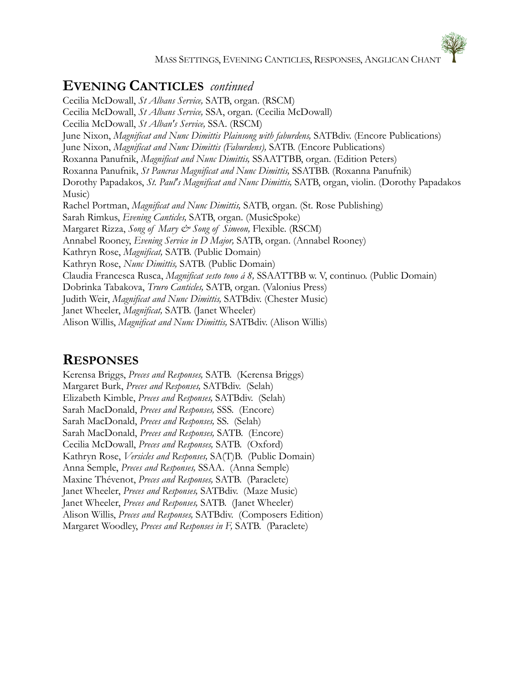MASS SETTINGS, EVENING CANTICLES, RESPONSES, ANGLICAN CHANT

### **EVENING CANTICLES** *continued*

Cecilia McDowall, *St Albans Service,* SATB, organ. (RSCM) Cecilia McDowall, *St Albans Service,* SSA, organ. (Cecilia McDowall) Cecilia McDowall, *St Alban's Service,* SSA. (RSCM) June Nixon, *Magnificat and Nunc Dimittis Plainsong with faburdens,* SATBdiv. (Encore Publications) June Nixon, *Magnificat and Nunc Dimittis (Faburdens),* SATB. (Encore Publications) Roxanna Panufnik, *Magnificat and Nunc Dimittis,* SSAATTBB, organ. (Edition Peters) Roxanna Panufnik, *St Pancras Magnificat and Nunc Dimittis,* SSATBB. (Roxanna Panufnik) Dorothy Papadakos, *St. Paul's Magnificat and Nunc Dimittis,* SATB, organ, violin. (Dorothy Papadakos Music) Rachel Portman, *Magnificat and Nunc Dimittis,* SATB, organ. (St. Rose Publishing) Sarah Rimkus, *Evening Canticles,* SATB, organ. (MusicSpoke) Margaret Rizza, *Song of Mary & Song of Simeon,* Flexible. (RSCM) Annabel Rooney, *Evening Service in D Major,* SATB, organ. (Annabel Rooney) Kathryn Rose, *Magnificat,* SATB. (Public Domain) Kathryn Rose, *Nunc Dimittis,* SATB. (Public Domain) Claudia Francesca Rusca, *Magnificat sesto tono á 8,* SSAATTBB w. V, continuo. (Public Domain) Dobrinka Tabakova, *Truro Canticles,* SATB, organ. (Valonius Press) Judith Weir, *Magnificat and Nunc Dimittis,* SATBdiv. (Chester Music) Janet Wheeler, *Magnificat,* SATB. (Janet Wheeler) Alison Willis, *Magnificat and Nunc Dimittis,* SATBdiv. (Alison Willis)

#### **RESPONSES**

Kerensa Briggs, *Preces and Responses,* SATB. (Kerensa Briggs) Margaret Burk, *Preces and Responses,* SATBdiv. (Selah) Elizabeth Kimble, *Preces and Responses,* SATBdiv. (Selah) Sarah MacDonald, *Preces and Responses,* SSS. (Encore) Sarah MacDonald, *Preces and Responses,* SS. (Selah) Sarah MacDonald, *Preces and Responses,* SATB. (Encore) Cecilia McDowall, *Preces and Responses,* SATB. (Oxford) Kathryn Rose, *Versicles and Responses,* SA(T)B. (Public Domain) Anna Semple, *Preces and Responses,* SSAA. (Anna Semple) Maxine Thévenot, *Preces and Responses,* SATB. (Paraclete) Janet Wheeler, *Preces and Responses,* SATBdiv. (Maze Music) Janet Wheeler, *Preces and Responses,* SATB. (Janet Wheeler) Alison Willis, *Preces and Responses,* SATBdiv. (Composers Edition) Margaret Woodley, *Preces and Responses in F,* SATB. (Paraclete)